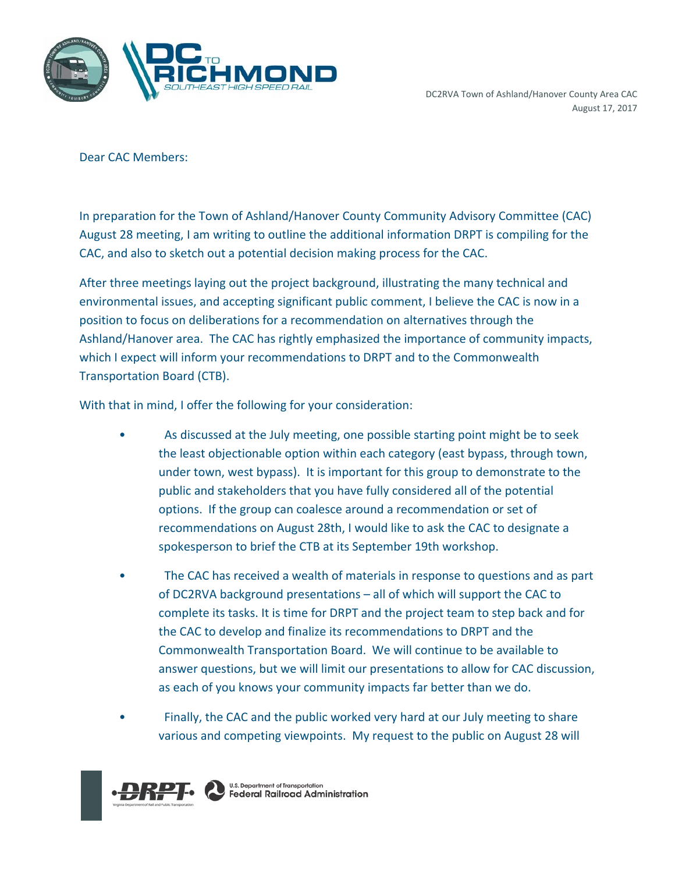

Dear CAC Members:

In preparation for the Town of Ashland/Hanover County Community Advisory Committee (CAC) August 28 meeting, I am writing to outline the additional information DRPT is compiling for the CAC, and also to sketch out a potential decision making process for the CAC.

After three meetings laying out the project background, illustrating the many technical and environmental issues, and accepting significant public comment, I believe the CAC is now in a position to focus on deliberations for a recommendation on alternatives through the Ashland/Hanover area. The CAC has rightly emphasized the importance of community impacts, which I expect will inform your recommendations to DRPT and to the Commonwealth Transportation Board (CTB).

With that in mind, I offer the following for your consideration:

- As discussed at the July meeting, one possible starting point might be to seek the least objectionable option within each category (east bypass, through town, under town, west bypass). It is important for this group to demonstrate to the public and stakeholders that you have fully considered all of the potential options. If the group can coalesce around a recommendation or set of recommendations on August 28th, I would like to ask the CAC to designate a spokesperson to brief the CTB at its September 19th workshop.
- The CAC has received a wealth of materials in response to questions and as part of DC2RVA background presentations – all of which will support the CAC to complete its tasks. It is time for DRPT and the project team to step back and for the CAC to develop and finalize its recommendations to DRPT and the Commonwealth Transportation Board. We will continue to be available to answer questions, but we will limit our presentations to allow for CAC discussion, as each of you knows your community impacts far better than we do.
- Finally, the CAC and the public worked very hard at our July meeting to share various and competing viewpoints. My request to the public on August 28 will